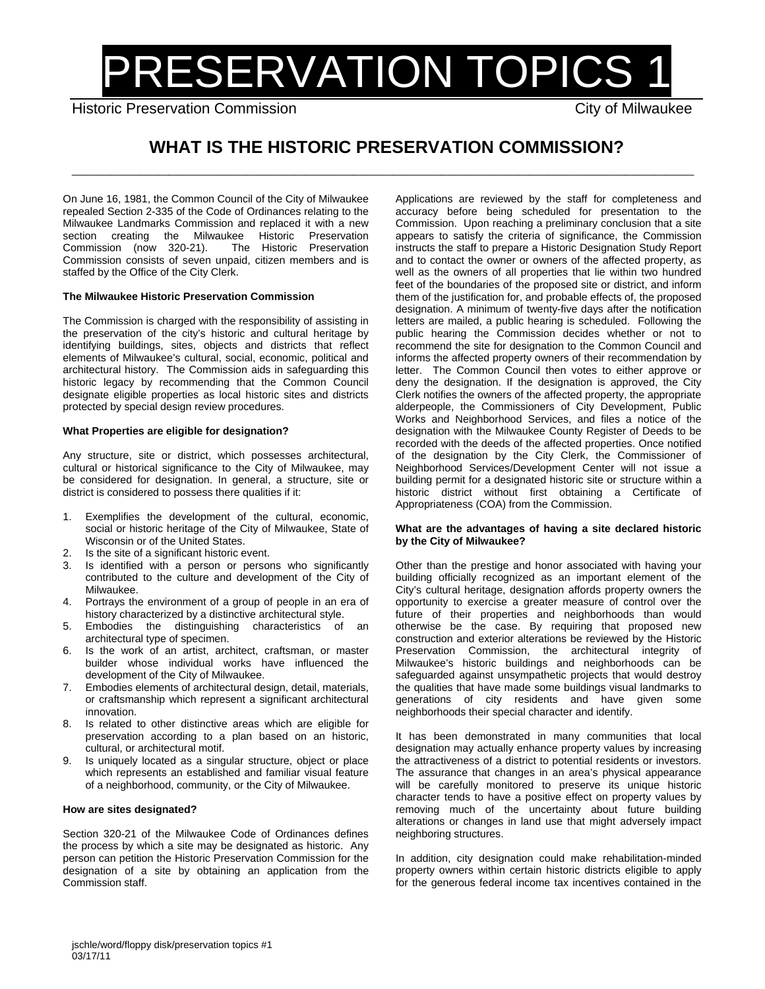# PRESERVATION TOPICS 1

Historic Preservation Commission City of Milwaukee

# **WHAT IS THE HISTORIC PRESERVATION COMMISSION? \_\_\_\_\_\_\_\_\_\_\_\_\_\_\_\_\_\_\_\_\_\_\_\_\_\_\_\_\_\_\_\_\_\_\_\_\_\_\_\_\_\_\_\_\_\_\_\_\_\_\_\_\_\_\_\_\_\_\_\_\_\_\_\_**

On June 16, 1981, the Common Council of the City of Milwaukee repealed Section 2-335 of the Code of Ordinances relating to the Milwaukee Landmarks Commission and replaced it with a new section creating the Milwaukee Historic Preservation<br>Commission (now 320-21). The Historic Preservation Commission (now 320-21). Commission consists of seven unpaid, citizen members and is staffed by the Office of the City Clerk.

# **The Milwaukee Historic Preservation Commission**

The Commission is charged with the responsibility of assisting in the preservation of the city's historic and cultural heritage by identifying buildings, sites, objects and districts that reflect elements of Milwaukee's cultural, social, economic, political and architectural history. The Commission aids in safeguarding this historic legacy by recommending that the Common Council designate eligible properties as local historic sites and districts protected by special design review procedures.

# **What Properties are eligible for designation?**

Any structure, site or district, which possesses architectural, cultural or historical significance to the City of Milwaukee, may be considered for designation. In general, a structure, site or district is considered to possess there qualities if it:

- 1. Exemplifies the development of the cultural, economic, social or historic heritage of the City of Milwaukee, State of Wisconsin or of the United States.
- 2. Is the site of a significant historic event.
- 3. Is identified with a person or persons who significantly contributed to the culture and development of the City of Milwaukee.
- 4. Portrays the environment of a group of people in an era of history characterized by a distinctive architectural style.
- 5. Embodies the distinguishing characteristics of an architectural type of specimen.
- 6. Is the work of an artist, architect, craftsman, or master builder whose individual works have influenced the development of the City of Milwaukee.
- 7. Embodies elements of architectural design, detail, materials, or craftsmanship which represent a significant architectural innovation.
- 8. Is related to other distinctive areas which are eligible for preservation according to a plan based on an historic, cultural, or architectural motif.
- 9. Is uniquely located as a singular structure, object or place which represents an established and familiar visual feature of a neighborhood, community, or the City of Milwaukee.

# **How are sites designated?**

Section 320-21 of the Milwaukee Code of Ordinances defines the process by which a site may be designated as historic. Any person can petition the Historic Preservation Commission for the designation of a site by obtaining an application from the Commission staff.

Applications are reviewed by the staff for completeness and accuracy before being scheduled for presentation to the Commission. Upon reaching a preliminary conclusion that a site appears to satisfy the criteria of significance, the Commission instructs the staff to prepare a Historic Designation Study Report and to contact the owner or owners of the affected property, as well as the owners of all properties that lie within two hundred feet of the boundaries of the proposed site or district, and inform them of the justification for, and probable effects of, the proposed designation. A minimum of twenty-five days after the notification letters are mailed, a public hearing is scheduled. Following the public hearing the Commission decides whether or not to recommend the site for designation to the Common Council and informs the affected property owners of their recommendation by letter. The Common Council then votes to either approve or deny the designation. If the designation is approved, the City Clerk notifies the owners of the affected property, the appropriate alderpeople, the Commissioners of City Development, Public Works and Neighborhood Services, and files a notice of the designation with the Milwaukee County Register of Deeds to be recorded with the deeds of the affected properties. Once notified of the designation by the City Clerk, the Commissioner of Neighborhood Services/Development Center will not issue a building permit for a designated historic site or structure within a historic district without first obtaining a Certificate of Appropriateness (COA) from the Commission.

#### **What are the advantages of having a site declared historic by the City of Milwaukee?**

Other than the prestige and honor associated with having your building officially recognized as an important element of the City's cultural heritage, designation affords property owners the opportunity to exercise a greater measure of control over the future of their properties and neighborhoods than would otherwise be the case. By requiring that proposed new construction and exterior alterations be reviewed by the Historic Preservation Commission, the architectural integrity of Milwaukee's historic buildings and neighborhoods can be safeguarded against unsympathetic projects that would destroy the qualities that have made some buildings visual landmarks to generations of city residents and have given some neighborhoods their special character and identify.

It has been demonstrated in many communities that local designation may actually enhance property values by increasing the attractiveness of a district to potential residents or investors. The assurance that changes in an area's physical appearance will be carefully monitored to preserve its unique historic character tends to have a positive effect on property values by removing much of the uncertainty about future building alterations or changes in land use that might adversely impact neighboring structures.

In addition, city designation could make rehabilitation-minded property owners within certain historic districts eligible to apply for the generous federal income tax incentives contained in the